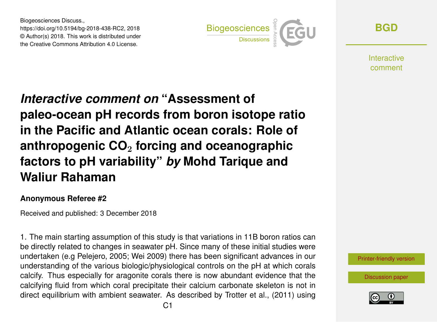Biogeosciences Discuss., https://doi.org/10.5194/bg-2018-438-RC2, 2018 © Author(s) 2018. This work is distributed under the Creative Commons Attribution 4.0 License.



**[BGD](https://www.biogeosciences-discuss.net/)**

**Interactive** comment

## *Interactive comment on* **"Assessment of paleo-ocean pH records from boron isotope ratio in the Pacific and Atlantic ocean corals: Role of anthropogenic CO**<sup>2</sup> **forcing and oceanographic factors to pH variability"** *by* **Mohd Tarique and Waliur Rahaman**

## **Anonymous Referee #2**

Received and published: 3 December 2018

1. The main starting assumption of this study is that variations in 11B boron ratios can be directly related to changes in seawater pH. Since many of these initial studies were undertaken (e.g Pelejero, 2005; Wei 2009) there has been significant advances in our understanding of the various biologic/physiological controls on the pH at which corals calcify. Thus especially for aragonite corals there is now abundant evidence that the calcifying fluid from which coral precipitate their calcium carbonate skeleton is not in direct equilibrium with ambient seawater. As described by Trotter et al., (2011) using



[Discussion paper](https://www.biogeosciences-discuss.net/bg-2018-438)

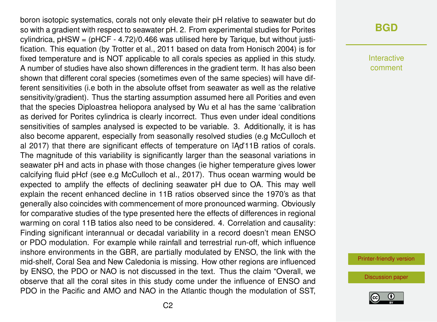boron isotopic systematics, corals not only elevate their pH relative to seawater but do so with a gradient with respect to seawater pH. 2. From experimental studies for Porites cylindrica,  $p$ HSW =  $(p$ HCF  $-$  4.72 $)/0.466$  was utilised here by Tarique, but without justification. This equation (by Trotter et al., 2011 based on data from Honisch 2004) is for fixed temperature and is NOT applicable to all corals species as applied in this study. A number of studies have also shown differences in the gradient term. It has also been shown that different coral species (sometimes even of the same species) will have different sensitivities (i.e both in the absolute offset from seawater as well as the relative sensitivity/gradient). Thus the starting assumption assumed here all Porities and even that the species Diploastrea heliopora analysed by Wu et al has the same 'calibration as derived for Porites cylindrica is clearly incorrect. Thus even under ideal conditions sensitivities of samples analysed is expected to be variable. 3. Additionally, it is has also become apparent, especially from seasonally resolved studies (e.g McCulloch et al 2017) that there are significant effects of temperature on  $\overline{A}$ d'11B ratios of corals. The magnitude of this variability is significantly larger than the seasonal variations in seawater pH and acts in phase with those changes (ie higher temperature gives lower calcifying fluid pHcf (see e.g McCulloch et al., 2017). Thus ocean warming would be expected to amplify the effects of declining seawater pH due to OA. This may well explain the recent enhanced decline in 11B ratios observed since the 1970's as that generally also coincides with commencement of more pronounced warming. Obviously for comparative studies of the type presented here the effects of differences in regional warming on coral 11B tatios also need to be considered. 4. Correlation and causality: Finding significant interannual or decadal variability in a record doesn't mean ENSO or PDO modulation. For example while rainfall and terrestrial run-off, which influence inshore environments in the GBR, are partially modulated by ENSO, the link with the mid-shelf, Coral Sea and New Caledonia is missing. How other regions are influenced by ENSO, the PDO or NAO is not discussed in the text. Thus the claim "Overall, we observe that all the coral sites in this study come under the influence of ENSO and PDO in the Pacific and AMO and NAO in the Atlantic though the modulation of SST,

## **[BGD](https://www.biogeosciences-discuss.net/)**

Interactive comment

[Printer-friendly version](https://www.biogeosciences-discuss.net/bg-2018-438/bg-2018-438-RC2-print.pdf)

[Discussion paper](https://www.biogeosciences-discuss.net/bg-2018-438)